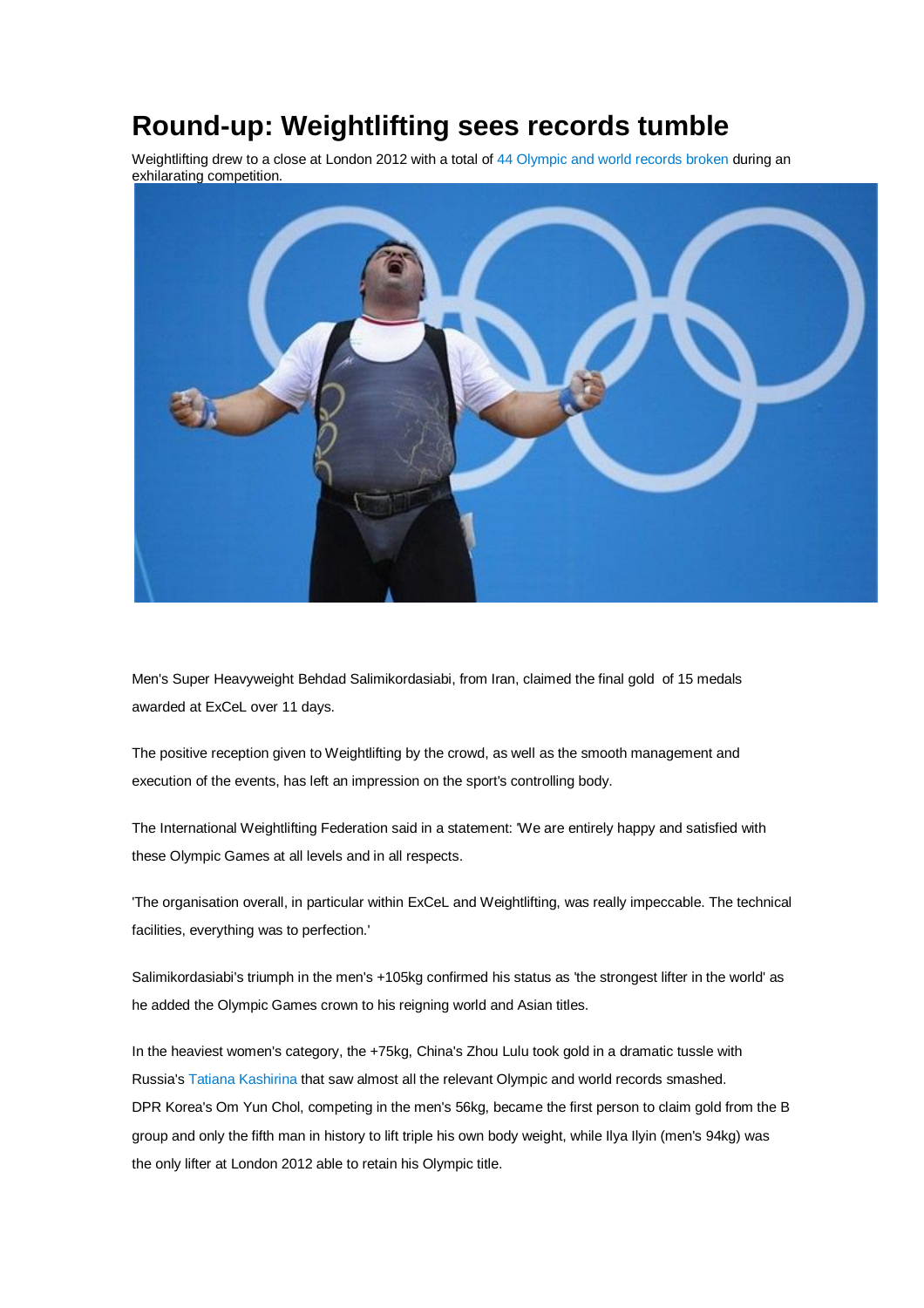## **Round-up: Weightlifting sees records tumble**

Weightlifting drew to a close at London 2012 with a total of 44 Olympic and world records broken during an exhilarating competition.



Men's Super Heavyweight Behdad Salimikordasiabi, from Iran, claimed the final gold of 15 medals awarded at ExCeL over 11 days.

The positive reception given to Weightlifting by the crowd, as well as the smooth management and execution of the events, has left an impression on the sport's controlling body.

The International Weightlifting Federation said in a statement: 'We are entirely happy and satisfied with these Olympic Games at all levels and in all respects.

'The organisation overall, in particular within ExCeL and Weightlifting, was really impeccable. The technical facilities, everything was to perfection.'

Salimikordasiabi's triumph in the men's +105kg confirmed his status as 'the strongest lifter in the world' as he added the Olympic Games crown to his reigning world and Asian titles.

In the heaviest women's category, the +75kg, China's Zhou Lulu took gold in a dramatic tussle with Russia's Tatiana Kashirina that saw almost all the relevant Olympic and world records smashed. DPR Korea's Om Yun Chol, competing in the men's 56kg, became the first person to claim gold from the B group and only the fifth man in history to lift triple his own body weight, while Ilya Ilyin (men's 94kg) was the only lifter at London 2012 able to retain his Olympic title.